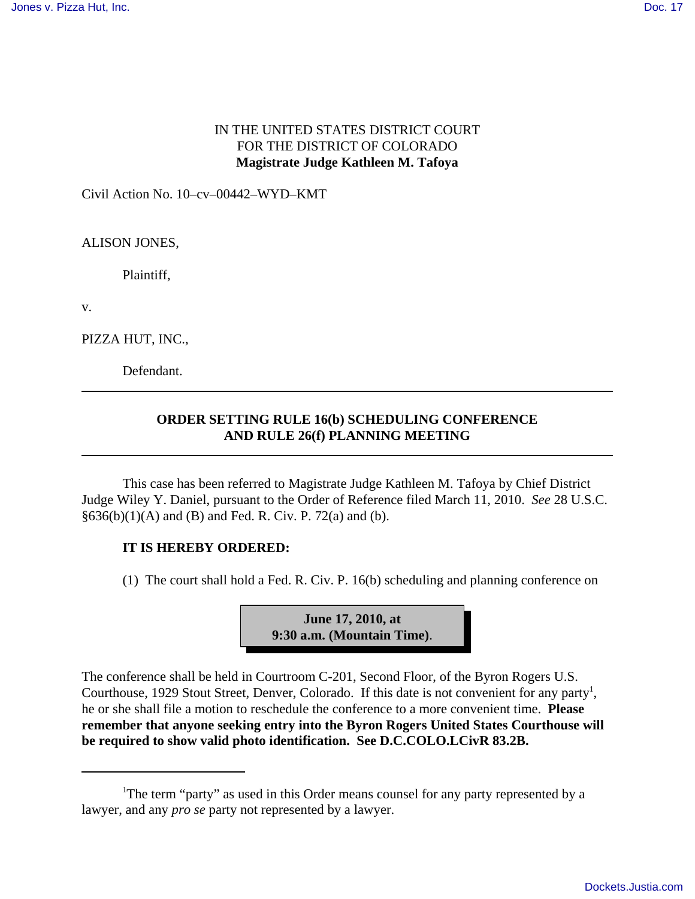## IN THE UNITED STATES DISTRICT COURT FOR THE DISTRICT OF COLORADO **Magistrate Judge Kathleen M. Tafoya**

Civil Action No. 10–cv–00442–WYD–KMT

ALISON JONES,

Plaintiff,

v.

PIZZA HUT, INC.,

Defendant.

## **ORDER SETTING RULE 16(b) SCHEDULING CONFERENCE AND RULE 26(f) PLANNING MEETING**

This case has been referred to Magistrate Judge Kathleen M. Tafoya by Chief District Judge Wiley Y. Daniel, pursuant to the Order of Reference filed March 11, 2010. *See* 28 U.S.C.  $§636(b)(1)(A)$  and (B) and Fed. R. Civ. P. 72(a) and (b).

## **IT IS HEREBY ORDERED:**

(1) The court shall hold a Fed. R. Civ. P. 16(b) scheduling and planning conference on



The conference shall be held in Courtroom C-201, Second Floor, of the Byron Rogers U.S. Courthouse, 1929 Stout Street, Denver, Colorado. If this date is not convenient for any party<sup>1</sup>, he or she shall file a motion to reschedule the conference to a more convenient time. **Please remember that anyone seeking entry into the Byron Rogers United States Courthouse will be required to show valid photo identification. See D.C.COLO.LCivR 83.2B.**

<sup>&</sup>lt;sup>1</sup>The term "party" as used in this Order means counsel for any party represented by a lawyer, and any *pro se* party not represented by a lawyer.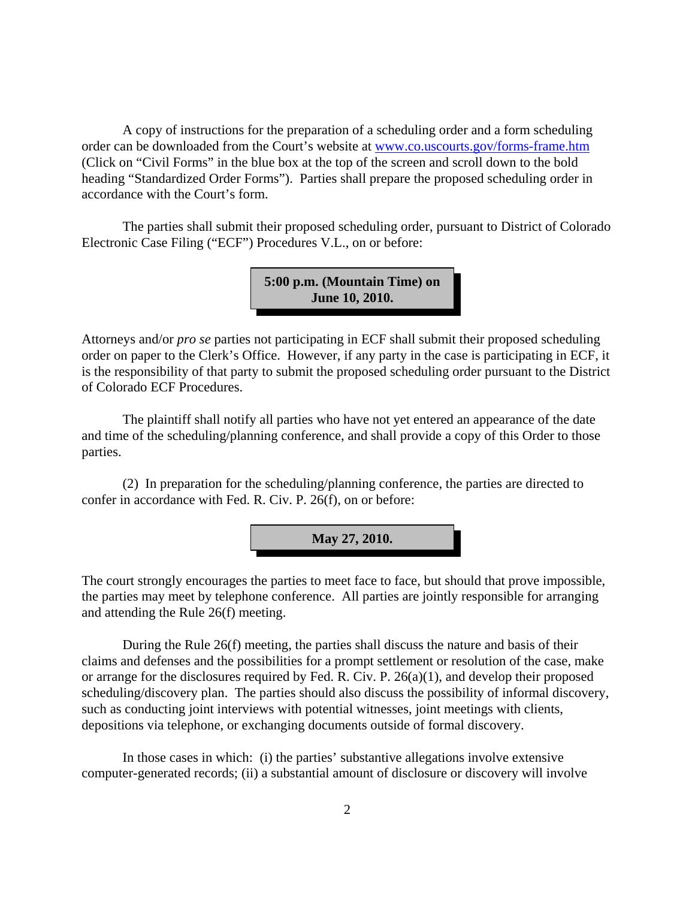A copy of instructions for the preparation of a scheduling order and a form scheduling order can be downloaded from the Court's website at www.co.uscourts.gov/forms-frame.htm (Click on "Civil Forms" in the blue box at the top of the screen and scroll down to the bold heading "Standardized Order Forms"). Parties shall prepare the proposed scheduling order in accordance with the Court's form.

The parties shall submit their proposed scheduling order, pursuant to District of Colorado Electronic Case Filing ("ECF") Procedures V.L., on or before:

> **5:00 p.m. (Mountain Time) on June 10, 2010.**

Attorneys and/or *pro se* parties not participating in ECF shall submit their proposed scheduling order on paper to the Clerk's Office. However, if any party in the case is participating in ECF, it is the responsibility of that party to submit the proposed scheduling order pursuant to the District of Colorado ECF Procedures.

The plaintiff shall notify all parties who have not yet entered an appearance of the date and time of the scheduling/planning conference, and shall provide a copy of this Order to those parties.

(2) In preparation for the scheduling/planning conference, the parties are directed to confer in accordance with Fed. R. Civ. P. 26(f), on or before:



The court strongly encourages the parties to meet face to face, but should that prove impossible, the parties may meet by telephone conference. All parties are jointly responsible for arranging and attending the Rule 26(f) meeting.

During the Rule 26(f) meeting, the parties shall discuss the nature and basis of their claims and defenses and the possibilities for a prompt settlement or resolution of the case, make or arrange for the disclosures required by Fed. R. Civ. P. 26(a)(1), and develop their proposed scheduling/discovery plan. The parties should also discuss the possibility of informal discovery, such as conducting joint interviews with potential witnesses, joint meetings with clients, depositions via telephone, or exchanging documents outside of formal discovery.

In those cases in which: (i) the parties' substantive allegations involve extensive computer-generated records; (ii) a substantial amount of disclosure or discovery will involve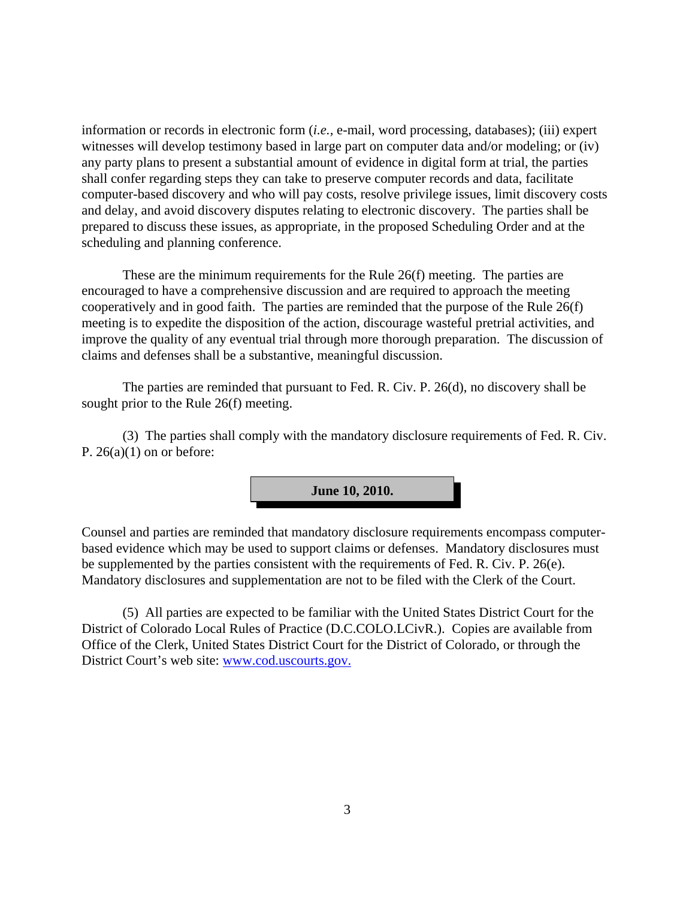information or records in electronic form (*i.e.,* e-mail, word processing, databases); (iii) expert witnesses will develop testimony based in large part on computer data and/or modeling; or (iv) any party plans to present a substantial amount of evidence in digital form at trial, the parties shall confer regarding steps they can take to preserve computer records and data, facilitate computer-based discovery and who will pay costs, resolve privilege issues, limit discovery costs and delay, and avoid discovery disputes relating to electronic discovery. The parties shall be prepared to discuss these issues, as appropriate, in the proposed Scheduling Order and at the scheduling and planning conference.

These are the minimum requirements for the Rule 26(f) meeting. The parties are encouraged to have a comprehensive discussion and are required to approach the meeting cooperatively and in good faith. The parties are reminded that the purpose of the Rule 26(f) meeting is to expedite the disposition of the action, discourage wasteful pretrial activities, and improve the quality of any eventual trial through more thorough preparation. The discussion of claims and defenses shall be a substantive, meaningful discussion.

The parties are reminded that pursuant to Fed. R. Civ. P. 26(d), no discovery shall be sought prior to the Rule 26(f) meeting.

(3) The parties shall comply with the mandatory disclosure requirements of Fed. R. Civ. P.  $26(a)(1)$  on or before:



Counsel and parties are reminded that mandatory disclosure requirements encompass computerbased evidence which may be used to support claims or defenses. Mandatory disclosures must be supplemented by the parties consistent with the requirements of Fed. R. Civ. P. 26(e). Mandatory disclosures and supplementation are not to be filed with the Clerk of the Court.

(5) All parties are expected to be familiar with the United States District Court for the District of Colorado Local Rules of Practice (D.C.COLO.LCivR.). Copies are available from Office of the Clerk, United States District Court for the District of Colorado, or through the District Court's web site: www.cod.uscourts.gov.